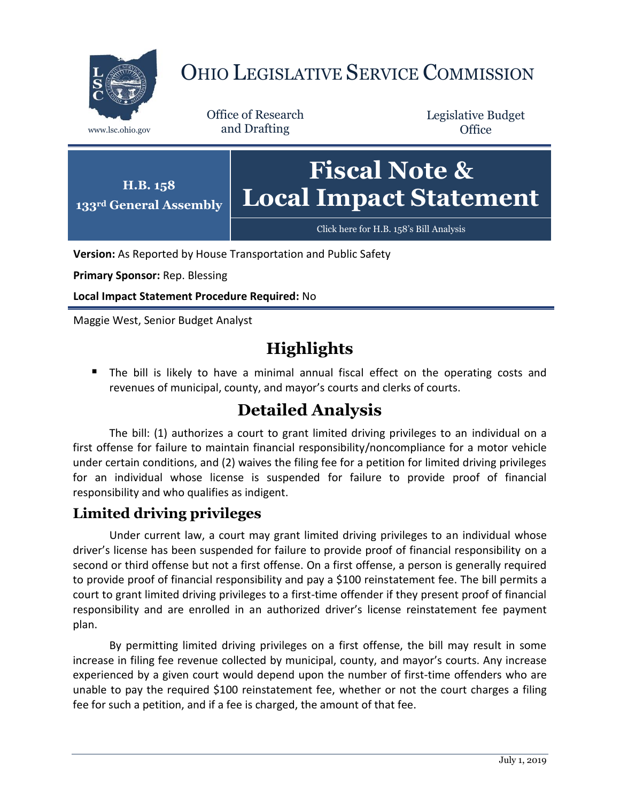

# OHIO LEGISLATIVE SERVICE COMMISSION

Office of Research www.lsc.ohio.gov and Drafting

Legislative Budget **Office** 



**Version:** As Reported by House Transportation and Public Safety

**Primary Sponsor:** Rep. Blessing

**Local Impact Statement Procedure Required:** No

Maggie West, Senior Budget Analyst

## **Highlights**

 The bill is likely to have a minimal annual fiscal effect on the operating costs and revenues of municipal, county, and mayor's courts and clerks of courts.

## **Detailed Analysis**

The bill: (1) authorizes a court to grant limited driving privileges to an individual on a first offense for failure to maintain financial responsibility/noncompliance for a motor vehicle under certain conditions, and (2) waives the filing fee for a petition for limited driving privileges for an individual whose license is suspended for failure to provide proof of financial responsibility and who qualifies as indigent.

### **Limited driving privileges**

Under current law, a court may grant limited driving privileges to an individual whose driver's license has been suspended for failure to provide proof of financial responsibility on a second or third offense but not a first offense. On a first offense, a person is generally required to provide proof of financial responsibility and pay a \$100 reinstatement fee. The bill permits a court to grant limited driving privileges to a first-time offender if they present proof of financial responsibility and are enrolled in an authorized driver's license reinstatement fee payment plan.

By permitting limited driving privileges on a first offense, the bill may result in some increase in filing fee revenue collected by municipal, county, and mayor's courts. Any increase experienced by a given court would depend upon the number of first-time offenders who are unable to pay the required \$100 reinstatement fee, whether or not the court charges a filing fee for such a petition, and if a fee is charged, the amount of that fee.